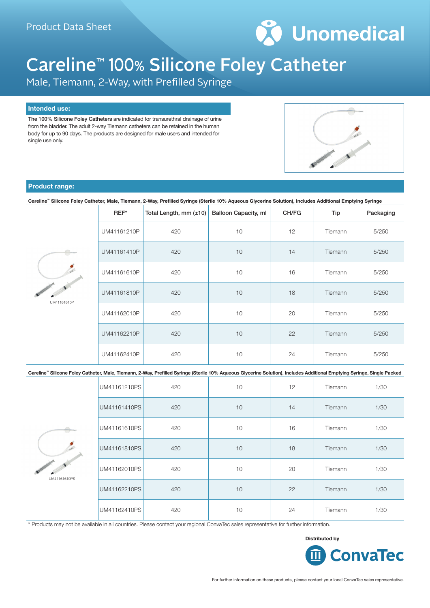

# Careline™ 100% Silicone Foley Catheter

Male, Tiemann, 2-Way, with Prefilled Syringe

#### **Intended use:**

The 100% Silicone Foley Catheters are indicated for transurethral drainage of urine from the bladder. The adult 2-way Tiemann catheters can be retained in the human body for up to 90 days. The products are designed for male users and intended for single use only.



#### **Product range:**

**Careline™ Silicone Foley Catheter, Male, Tiemann, 2-Way, Prefilled Syringe (Sterile 10% Aqueous Glycerine Solution), Includes Additional Emptying Syringe**

| REF*<br>Total Length, mm (±10) |     | <b>Balloon Capacity, ml</b> | CH/FG | Tip     | Packaging |
|--------------------------------|-----|-----------------------------|-------|---------|-----------|
| UM41161210P                    | 420 | 10                          | 12    | Tiemann | 5/250     |
| UM41161410P                    | 420 | 10                          | 14    | Tiemann | 5/250     |
| UM41161610P                    | 420 | 10                          | 16    | Tiemann | 5/250     |
| UM41161810P                    | 420 | 10                          | 18    | Tiemann | 5/250     |
| UM41162010P                    | 420 | 10                          | 20    | Tiemann | 5/250     |
| UM41162210P                    | 420 | 10                          | 22    | Tiemann | 5/250     |
| UM41162410P                    | 420 | 10                          | 24    | Tiemann | 5/250     |

#### **Careline™ Silicone Foley Catheter, Male, Tiemann, 2-Way, Prefilled Syringe (Sterile 10% Aqueous Glycerine Solution), Includes Additional Emptying Syringe, Single Packed**



UM41161610P

| UM41161210PS | 420 | 10 | 12 | Tiemann | 1/30 |
|--------------|-----|----|----|---------|------|
| UM41161410PS | 420 | 10 | 14 | Tiemann | 1/30 |
| UM41161610PS | 420 | 10 | 16 | Tiemann | 1/30 |
| UM41161810PS | 420 | 10 | 18 | Tiemann | 1/30 |
| UM41162010PS | 420 | 10 | 20 | Tiemann | 1/30 |
| UM41162210PS | 420 | 10 | 22 | Tiemann | 1/30 |
| UM41162410PS | 420 | 10 | 24 | Tiemann | 1/30 |

\* Products may not be available in all countries. Please contact your regional ConvaTec sales representative for further information.

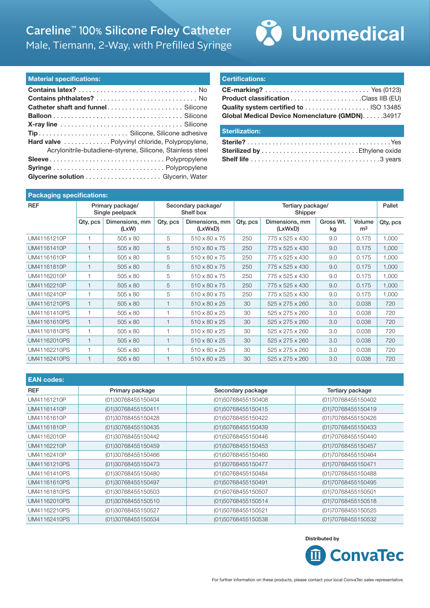## Careline™ 100% Silicone Foley Catheter Male, Tiemann, 2-Way, with Prefilled Syringe



#### **Material specifications:**

| Hard valve  Polyvinyl chloride, Polypropylene,             |
|------------------------------------------------------------|
| Acrylonitrile-butadiene-styrene, Silicone, Stainless steel |
|                                                            |
|                                                            |
|                                                            |

#### **Certifications:**

| Global Medical Device Nomenclature (GMDN). 34917 |  |
|--------------------------------------------------|--|

### **Sterilization:**

#### **Packaging specifications:**

| <b>REF</b>   | Primary package/<br>Single peelpack |                         | Secondary package/<br>Shelf box |                           | Tertiary package/<br>Shipper |                           |                 |                          | Pallet   |
|--------------|-------------------------------------|-------------------------|---------------------------------|---------------------------|------------------------------|---------------------------|-----------------|--------------------------|----------|
|              | Qty, pcs                            | Dimensions, mm<br>(LxW) | Qty, pcs                        | Dimensions, mm<br>(LxWxD) | Qty, pcs                     | Dimensions, mm<br>(LxWxD) | Gross Wt.<br>kg | Volume<br>m <sup>3</sup> | Qty, pcs |
| UM41161210P  | 1                                   | 505 x 80                | 5                               | 510 x 80 x 75             | 250                          | 775 x 525 x 430           | 9.0             | 0.175                    | 1,000    |
| UM41161410P  | $\mathbf{1}$                        | $505 \times 80$         | 5                               | 510 x 80 x 75             | 250                          | 775 x 525 x 430           | 9.0             | 0.175                    | 1,000    |
| UM41161610P  |                                     | 505 x 80                | 5                               | 510 x 80 x 75             | 250                          | 775 x 525 x 430           | 9.0             | 0.175                    | 1,000    |
| UM41161810P  |                                     | $505 \times 80$         | 5                               | 510 x 80 x 75             | 250                          | 775 x 525 x 430           | 9.0             | 0.175                    | 1,000    |
| UM41162010P  |                                     | 505 x 80                | 5                               | 510 x 80 x 75             | 250                          | 775 x 525 x 430           | 9.0             | 0.175                    | 1.000    |
| UM41162210P  |                                     | 505 x 80                | 5                               | 510 x 80 x 75             | 250                          | 775 x 525 x 430           | 9.0             | 0.175                    | 1,000    |
| UM41162410P  | 1                                   | 505 x 80                | 5                               | 510 x 80 x 75             | 250                          | 775 x 525 x 430           | 9.0             | 0.175                    | 1,000    |
| UM41161210PS | $\mathbf{1}$                        | 505 x 80                |                                 | 510 x 80 x 25             | 30                           | 525 x 275 x 260           | 3.0             | 0.038                    | 720      |
| UM41161410PS | 1                                   | 505 x 80                |                                 | 510 x 80 x 25             | 30                           | 525 x 275 x 260           | 3.0             | 0.038                    | 720      |
| UM41161610PS | $\mathbf{1}$                        | 505 x 80                | $\mathbf{1}$                    | 510 x 80 x 25             | 30                           | 525 x 275 x 260           | 3.0             | 0.038                    | 720      |
| UM41161810PS | 1                                   | 505 x 80                |                                 | 510 x 80 x 25             | 30                           | 525 x 275 x 260           | 3.0             | 0.038                    | 720      |
| UM41162010PS | $\mathbf{1}$                        | 505 x 80                |                                 | 510 x 80 x 25             | 30                           | 525 x 275 x 260           | 3.0             | 0.038                    | 720      |
| UM41162210PS | 1                                   | 505 x 80                |                                 | 510 x 80 x 25             | 30                           | 525 x 275 x 260           | 3.0             | 0.038                    | 720      |
| UM41162410PS | $\overline{1}$                      | 505 x 80                |                                 | 510 x 80 x 25             | 30                           | 525 x 275 x 260           | 3.0             | 0.038                    | 720      |

| <b>EAN codes:</b> |                    |                    |                    |  |  |
|-------------------|--------------------|--------------------|--------------------|--|--|
| <b>REF</b>        | Primary package    | Secondary package  | Tertiary package   |  |  |
| UM41161210P       | (01)30768455150404 | (01)50768455150408 | (01)70768455150402 |  |  |
| UM41161410P       | (01)30768455150411 | (01)50768455150415 | (01)70768455150419 |  |  |
| UM41161610P       | (01)30768455150428 | (01)50768455150422 | (01)70768455150426 |  |  |
| UM41161810P       | (01)30768455150435 | (01)50768455150439 | (01)70768455150433 |  |  |
| UM41162010P       | (01)30768455150442 | (01)50768455150446 | (01)70768455150440 |  |  |
| UM41162210P       | (01)30768455150459 | (01)50768455150453 | (01)70768455150457 |  |  |
| UM41162410P       | (01)30768455150466 | (01)50768455150460 | (01)70768455150464 |  |  |
| UM41161210PS      | (01)30768455150473 | (01)50768455150477 | (01)70768455150471 |  |  |
| UM41161410PS      | (01)30768455150480 | (01)50768455150484 | (01)70768455150488 |  |  |
| UM41161610PS      | (01)30768455150497 | (01)50768455150491 | (01)70768455150495 |  |  |
| UM41161810PS      | (01)30768455150503 | (01)50768455150507 | (01)70768455150501 |  |  |
| UM41162010PS      | (01)30768455150510 | (01)50768455150514 | (01)70768455150518 |  |  |
| UM41162210PS      | (01)30768455150527 | (01)50768455150521 | (01)70768455150525 |  |  |
| UM41162410PS      | (01)30768455150534 | (01)50768455150538 | (01)70768455150532 |  |  |